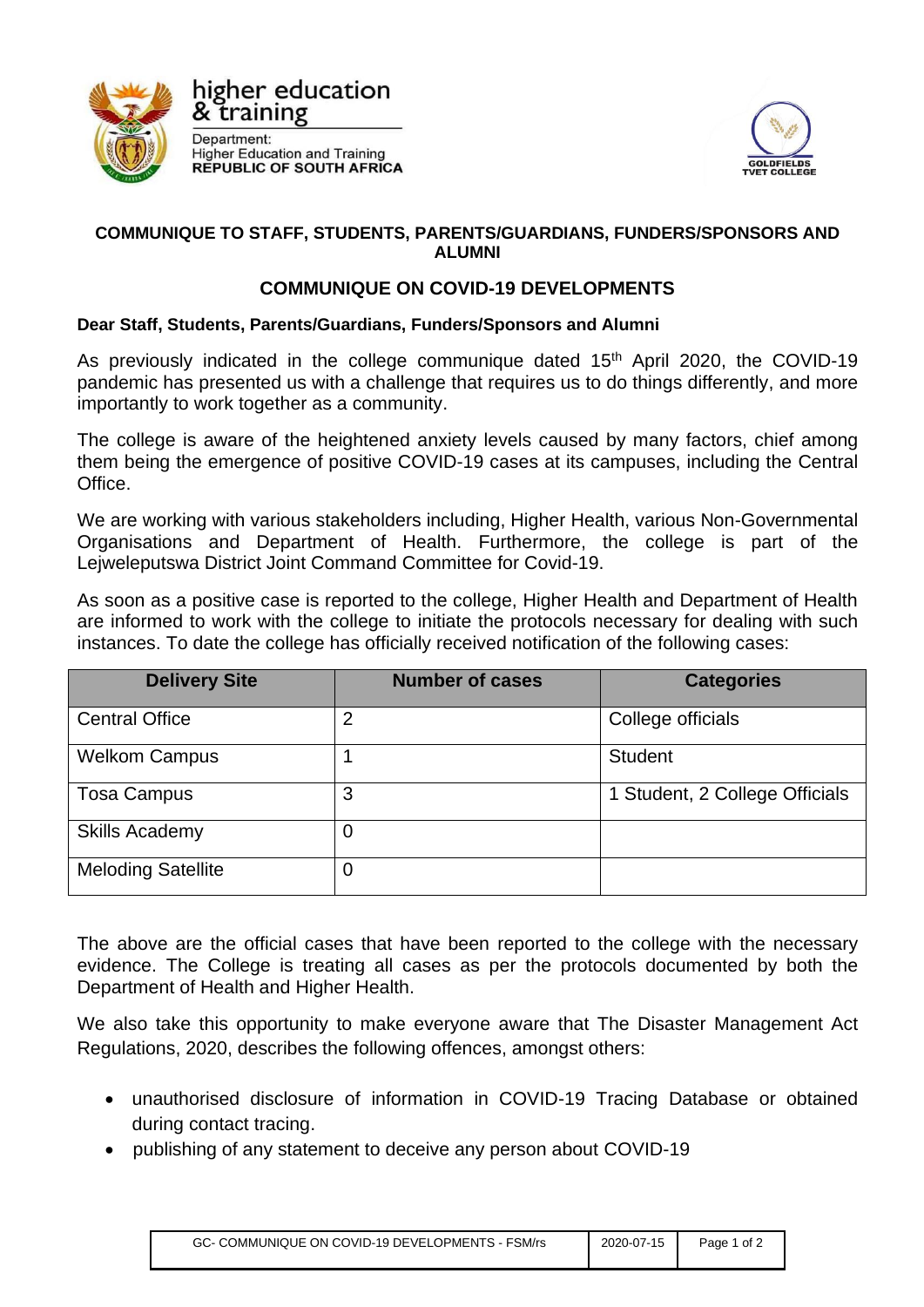

higher education & training

Department: **Higher Education and Training<br>REPUBLIC OF SOUTH AFRICA** 



## **COMMUNIQUE TO STAFF, STUDENTS, PARENTS/GUARDIANS, FUNDERS/SPONSORS AND ALUMNI**

## **COMMUNIQUE ON COVID-19 DEVELOPMENTS**

## **Dear Staff, Students, Parents/Guardians, Funders/Sponsors and Alumni**

As previously indicated in the college communique dated  $15<sup>th</sup>$  April 2020, the COVID-19 pandemic has presented us with a challenge that requires us to do things differently, and more importantly to work together as a community.

The college is aware of the heightened anxiety levels caused by many factors, chief among them being the emergence of positive COVID-19 cases at its campuses, including the Central Office.

We are working with various stakeholders including, Higher Health, various Non-Governmental Organisations and Department of Health. Furthermore, the college is part of the Lejweleputswa District Joint Command Committee for Covid-19.

As soon as a positive case is reported to the college, Higher Health and Department of Health are informed to work with the college to initiate the protocols necessary for dealing with such instances. To date the college has officially received notification of the following cases:

| <b>Delivery Site</b>      | <b>Number of cases</b> | <b>Categories</b>              |
|---------------------------|------------------------|--------------------------------|
| <b>Central Office</b>     | $\overline{2}$         | College officials              |
| <b>Welkom Campus</b>      |                        | <b>Student</b>                 |
| <b>Tosa Campus</b>        | 3                      | 1 Student, 2 College Officials |
| <b>Skills Academy</b>     | 0                      |                                |
| <b>Meloding Satellite</b> | 0                      |                                |

The above are the official cases that have been reported to the college with the necessary evidence. The College is treating all cases as per the protocols documented by both the Department of Health and Higher Health.

We also take this opportunity to make everyone aware that The Disaster Management Act Regulations, 2020, describes the following offences, amongst others:

- unauthorised disclosure of information in COVID-19 Tracing Database or obtained during contact tracing.
- publishing of any statement to deceive any person about COVID-19